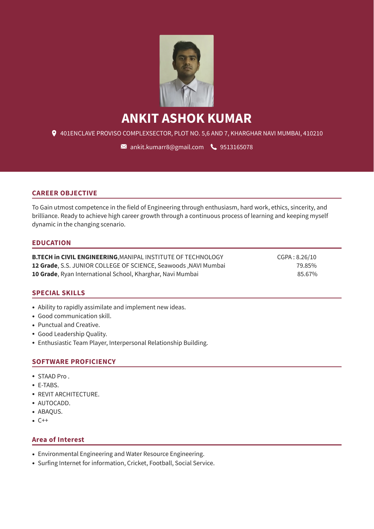

# **ANKIT ASHOK KUMAR**

401ENCLAVE PROVISO COMPLEXSECTOR, PLOT NO. 5,6 AND 7, KHARGHAR NAVI MUMBAI, 410210

 $\blacksquare$  [ankit.kumarr8@gmail.com](mailto:ankit.kumarr8@gmail.com)  $\lozenge$  [9513165078](tel:9513165078)

#### **CAREER OBJECTIVE**

To Gain utmost competence in the field of Engineering through enthusiasm, hard work, ethics, sincerity, and brilliance. Ready to achieve high career growth through a continuous process of learning and keeping myself dynamic in the changing scenario.

#### **EDUCATION**

**B.TECH in CIVIL ENGINEERING**, MANIPAL INSTITUTE OF TECHNOLOGY CGPA : 8.26/10 **12 Grade**, S.S. JUNIOR COLLEGE OF SCIENCE, Seawoods ,NAVI Mumbai 79.85% **10 Grade**, Ryan International School, Kharghar, Navi Mumbai 85.67%

#### **SPECIAL SKILLS**

- Ability to rapidly assimilate and implement new ideas.
- Good communication skill.
- Punctual and Creative.
- Good Leadership Quality.
- Enthusiastic Team Player, Interpersonal Relationship Building.

#### **SOFTWARE PROFICIENCY**

- STAAD Pro .
- E-TABS.
- REVIT ARCHITECTURE.
- AUTOCADD.
- ABAQUS.
- C++

#### **Area of Interest**

- Environmental Engineering and Water Resource Engineering.
- Surfing Internet for information, Cricket, Football, Social Service.